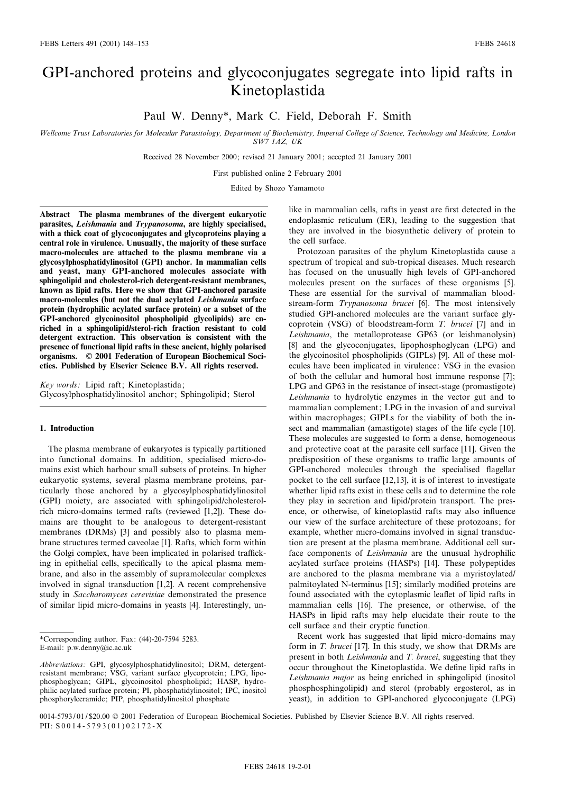# GPI-anchored proteins and glycoconjugates segregate into lipid rafts in Kinetoplastida

Paul W. Denny\*, Mark C. Field, Deborah F. Smith

Wellcome Trust Laboratories for Molecular Parasitology, Department of Biochemistry, Imperial College of Science, Technology and Medicine, London SW7 1AZ, UK

Received 28 November 2000; revised 21 January 2001; accepted 21 January 2001

First published online 2 February 2001

Edited by Shozo Yamamoto

Abstract The plasma membranes of the divergent eukaryotic parasites, Leishmania and Trypanosoma, are highly specialised, with a thick coat of glycoconjugates and glycoproteins playing a central role in virulence. Unusually, the majority of these surface macro-molecules are attached to the plasma membrane via a glycosylphosphatidylinositol (GPI) anchor. In mammalian cells and yeast, many GPI-anchored molecules associate with sphingolipid and cholesterol-rich detergent-resistant membranes, known as lipid rafts. Here we show that GPI-anchored parasite macro-molecules (but not the dual acylated Leishmania surface protein (hydrophilic acylated surface protein) or a subset of the GPI-anchored glycoinositol phospholipid glycolipids) are enriched in a sphingolipid/sterol-rich fraction resistant to cold detergent extraction. This observation is consistent with the presence of functional lipid rafts in these ancient, highly polarised organisms. ß 2001 Federation of European Biochemical Societies. Published by Elsevier Science B.V. All rights reserved.

Key words: Lipid raft; Kinetoplastida; Glycosylphosphatidylinositol anchor; Sphingolipid; Sterol

# 1. Introduction

The plasma membrane of eukaryotes is typically partitioned into functional domains. In addition, specialised micro-domains exist which harbour small subsets of proteins. In higher eukaryotic systems, several plasma membrane proteins, particularly those anchored by a glycosylphosphatidylinositol (GPI) moiety, are associated with sphingolipid/cholesterolrich micro-domains termed rafts (reviewed [1,2]). These domains are thought to be analogous to detergent-resistant membranes (DRMs) [3] and possibly also to plasma membrane structures termed caveolae [1]. Rafts, which form within the Golgi complex, have been implicated in polarised trafficking in epithelial cells, specifically to the apical plasma membrane, and also in the assembly of supramolecular complexes involved in signal transduction [1,2]. A recent comprehensive study in Saccharomyces cerevisiae demonstrated the presence of similar lipid micro-domains in yeasts [4]. Interestingly, unlike in mammalian cells, rafts in yeast are first detected in the endoplasmic reticulum (ER), leading to the suggestion that they are involved in the biosynthetic delivery of protein to the cell surface.

Protozoan parasites of the phylum Kinetoplastida cause a spectrum of tropical and sub-tropical diseases. Much research has focused on the unusually high levels of GPI-anchored molecules present on the surfaces of these organisms [5]. These are essential for the survival of mammalian bloodstream-form Trypanosoma brucei [6]. The most intensively studied GPI-anchored molecules are the variant surface glycoprotein (VSG) of bloodstream-form T. brucei [7] and in Leishmania, the metalloprotease GP63 (or leishmanolysin) [8] and the glycoconjugates, lipophosphoglycan (LPG) and the glycoinositol phospholipids (GIPLs) [9]. All of these molecules have been implicated in virulence: VSG in the evasion of both the cellular and humoral host immune response [7]; LPG and GP63 in the resistance of insect-stage (promastigote) Leishmania to hydrolytic enzymes in the vector gut and to mammalian complement; LPG in the invasion of and survival within macrophages; GIPLs for the viability of both the insect and mammalian (amastigote) stages of the life cycle [10]. These molecules are suggested to form a dense, homogeneous and protective coat at the parasite cell surface [11]. Given the predisposition of these organisms to traffic large amounts of GPI-anchored molecules through the specialised flagellar pocket to the cell surface [12,13], it is of interest to investigate whether lipid rafts exist in these cells and to determine the role they play in secretion and lipid/protein transport. The presence, or otherwise, of kinetoplastid rafts may also influence our view of the surface architecture of these protozoans; for example, whether micro-domains involved in signal transduction are present at the plasma membrane. Additional cell surface components of Leishmania are the unusual hydrophilic acylated surface proteins (HASPs) [14]. These polypeptides are anchored to the plasma membrane via a myristoylated/ palmitoylated N-terminus [15]; similarly modified proteins are found associated with the cytoplasmic leaflet of lipid rafts in mammalian cells [16]. The presence, or otherwise, of the HASPs in lipid rafts may help elucidate their route to the cell surface and their cryptic function.

Recent work has suggested that lipid micro-domains may form in T. brucei [17]. In this study, we show that DRMs are present in both Leishmania and T. brucei, suggesting that they occur throughout the Kinetoplastida. We define lipid rafts in Leishmania major as being enriched in sphingolipid (inositol phosphosphingolipid) and sterol (probably ergosterol, as in yeast), in addition to GPI-anchored glycoconjugate (LPG)

<sup>\*</sup>Corresponding author. Fax: (44)-20-7594 5283.

E-mail: p.w.denny@ic.ac.uk

Abbreviations: GPI, glycosylphosphatidylinositol; DRM, detergentresistant membrane; VSG, variant surface glycoprotein; LPG, lipophosphoglycan; GIPL, glycoinositol phospholipid; HASP, hydrophilic acylated surface protein; PI, phosphatidylinositol; IPC, inositol phosphorylceramide; PIP, phosphatidylinositol phosphate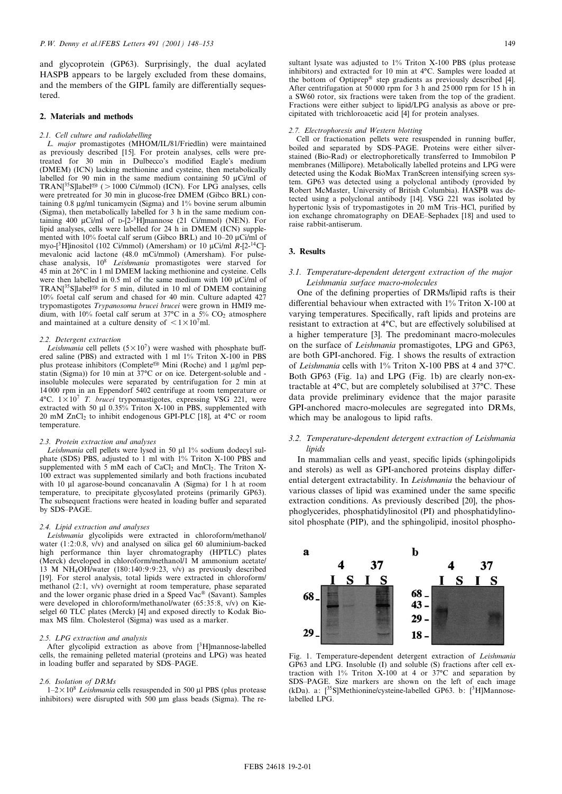and glycoprotein (GP63). Surprisingly, the dual acylated HASPB appears to be largely excluded from these domains, and the members of the GIPL family are differentially sequestered.

## 2. Materials and methods

#### 2.1. Cell culture and radiolabelling

L. major promastigotes (MHOM/IL/81/Friedlin) were maintained as previously described [15]. For protein analyses, cells were pretreated for 30 min in Dulbecco's modified Eagle's medium (DMEM) (ICN) lacking methionine and cysteine, then metabolically labelled for 90 min in the same medium containing 50  $\mu$ Ci/ml of TRAN[ $35$ S]label<sup>®</sup> ( > 1000 Ci/mmol) (ICN). For LPG analyses, cells were pretreated for 30 min in glucose-free DMEM (Gibco BRL) containing  $0.8 \mu g/ml$  tunicamycin (Sigma) and  $1\%$  bovine serum albumin (Sigma), then metabolically labelled for 3 h in the same medium containing 400  $\mu$ Ci/ml of D-[2-3H]mannose (21 Ci/mmol) (NEN). For lipid analyses, cells were labelled for 24 h in DMEM (ICN) supplemented with 10% foetal calf serum (Gibco BRL) and  $10-20 \mu$ Ci/ml of myo-[<sup>3</sup>H]inositol (102 Ci/mmol) (Amersham) or 10  $\mu$ Ci/ml R-[2-<sup>14</sup>C]mevalonic acid lactone (48.0 mCi/mmol) (Amersham). For pulsechase analysis,  $10^8$  Leishmania promastigotes were starved for 45 min at 26°C in 1 ml DMEM lacking methionine and cysteine. Cells were then labelled in 0.5 ml of the same medium with 100  $\mu$ Ci/ml of TRAN[ $35$ S]label<sup>®</sup> for 5 min, diluted in 10 ml of DMEM containing 10% foetal calf serum and chased for 40 min. Culture adapted 427 trypomastigotes Trypanosoma brucei brucei were grown in HMI9 medium, with 10% foetal calf serum at 37 $\degree$ C in a 5% CO<sub>2</sub> atmosphere and maintained at a culture density of  $\leq 1 \times 10^7$ ml.

#### 2.2. Detergent extraction

Leishmania cell pellets ( $5 \times 10^7$ ) were washed with phosphate buffered saline (PBS) and extracted with 1 ml 1% Triton X-100 in PBS plus protease inhibitors (Complete<sup>®</sup> Mini (Roche) and 1 µg/ml pepstatin (Sigma)) for 10 min at  $37^{\circ}$ C or on ice. Detergent-soluble and insoluble molecules were separated by centrifugation for 2 min at 14 000 rpm in an Eppendorf 5402 centrifuge at room temperature or  $4^{\circ}$ C.  $1 \times 10^{7}$  *T. brucei* trypomastigotes, expressing VSG 221, were extracted with 50  $\mu$ l 0.35% Triton X-100 in PBS, supplemented with 20 mM  $ZnCl<sub>2</sub>$  to inhibit endogenous GPI-PLC [18], at 4 $°C$  or room temperature.

#### 2.3. Protein extraction and analyses

Leishmania cell pellets were lysed in 50 µl 1% sodium dodecyl sulphate (SDS) PBS, adjusted to 1 ml with 1% Triton X-100 PBS and supplemented with 5 mM each of  $CaCl<sub>2</sub>$  and  $MnCl<sub>2</sub>$ . The Triton X-100 extract was supplemented similarly and both fractions incubated with 10  $\mu$ l agarose-bound concanavalin A (Sigma) for 1 h at room temperature, to precipitate glycosylated proteins (primarily GP63). The subsequent fractions were heated in loading buffer and separated by SDS^PAGE.

#### 2.4. Lipid extraction and analyses

Leishmania glycolipids were extracted in chloroform/methanol/ water (1:2:0.8, v/v) and analysed on silica gel 60 aluminium-backed high performance thin layer chromatography (HPTLC) plates (Merck) developed in chloroform/methanol/1 M ammonium acetate/ 13 M NH4OH/water (180:140:9:9:23, v/v) as previously described [19]. For sterol analysis, total lipids were extracted in chloroform/ methanol (2:1, v/v) overnight at room temperature, phase separated and the lower organic phase dried in a Speed Vac® (Savant). Samples were developed in chloroform/methanol/water (65:35:8, v/v) on Kieselgel 60 TLC plates (Merck) [4] and exposed directly to Kodak Biomax MS film. Cholesterol (Sigma) was used as a marker.

#### 2.5. LPG extraction and analysis

After glycolipid extraction as above from  $[3H]$ mannose-labelled cells, the remaining pelleted material (proteins and LPG) was heated in loading buffer and separated by SDS-PAGE.

## 2.6. Isolation of DRMs

 $1-2\times10^8$  Leishmania cells resuspended in 500 µl PBS (plus protease inhibitors) were disrupted with  $500 \mu m$  glass beads (Sigma). The resultant lysate was adjusted to 1% Triton X-100 PBS (plus protease inhibitors) and extracted for 10 min at 4°C. Samples were loaded at the bottom of Optiprep<sup>®</sup> step gradients as previously described [4]. After centrifugation at 50 000 rpm for 3 h and 25 000 rpm for 15 h in a SW60 rotor, six fractions were taken from the top of the gradient. Fractions were either subject to lipid/LPG analysis as above or precipitated with trichloroacetic acid [4] for protein analyses.

## 2.7. Electrophoresis and Western blotting

Cell or fractionation pellets were resuspended in running buffer, boiled and separated by SDS-PAGE. Proteins were either silverstained (Bio-Rad) or electrophoretically transferred to Immobilon P membranes (Millipore). Metabolically labelled proteins and LPG were detected using the Kodak BioMax TranScreen intensifying screen system. GP63 was detected using a polyclonal antibody (provided by Robert McMaster, University of British Columbia). HASPB was detected using a polyclonal antibody [14]. VSG 221 was isolated by hypertonic lysis of trypomastigotes in 20 mM Tris-HCl, purified by ion exchange chromatography on DEAE-Sephadex [18] and used to raise rabbit-antiserum.

## 3. Results

# 3.1. Temperature-dependent detergent extraction of the major Leishmania surface macro-molecules

One of the defining properties of DRMs/lipid rafts is their differential behaviour when extracted with  $1\%$  Triton X-100 at varying temperatures. Specifically, raft lipids and proteins are resistant to extraction at  $4^{\circ}$ C, but are effectively solubilised at a higher temperature [3]. The predominant macro-molecules on the surface of Leishmania promastigotes, LPG and GP63, are both GPI-anchored. Fig. 1 shows the results of extraction of Leishmania cells with  $1\%$  Triton X-100 PBS at 4 and 37°C. Both GP63 (Fig. 1a) and LPG (Fig. 1b) are clearly non-extractable at 4°C, but are completely solubilised at 37°C. These data provide preliminary evidence that the major parasite GPI-anchored macro-molecules are segregated into DRMs, which may be analogous to lipid rafts.

# 3.2. Temperature-dependent detergent extraction of Leishmania lipids

In mammalian cells and yeast, specific lipids (sphingolipids and sterols) as well as GPI-anchored proteins display differential detergent extractability. In Leishmania the behaviour of various classes of lipid was examined under the same specific extraction conditions. As previously described [20], the phosphoglycerides, phosphatidylinositol (PI) and phosphatidylinositol phosphate (PIP), and the sphingolipid, inositol phospho-



Fig. 1. Temperature-dependent detergent extraction of Leishmania GP63 and LPG. Insoluble (I) and soluble (S) fractions after cell extraction with  $1\%$  Triton X-100 at 4 or 37 $\degree$ C and separation by SDS-PAGE. Size markers are shown on the left of each image (kDa). a: [35S]Methionine/cysteine-labelled GP63. b: [3H]Mannoselabelled LPG.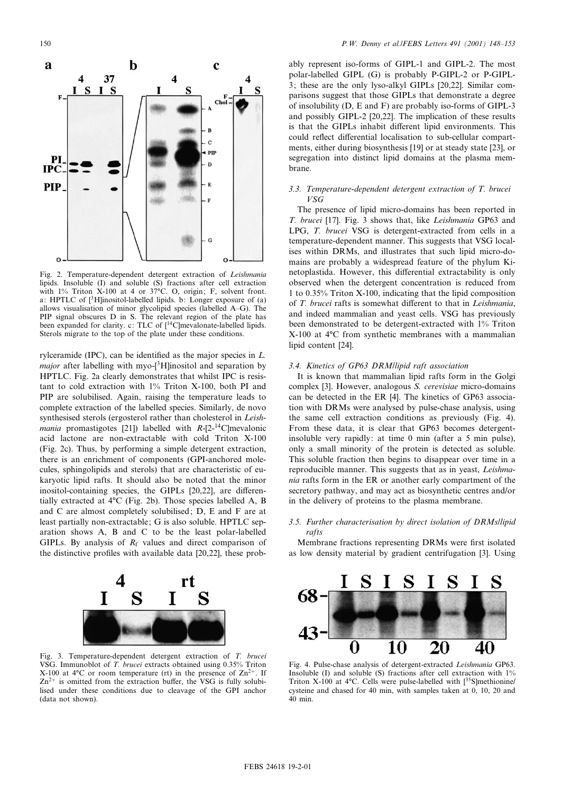

Fig. 2. Temperature-dependent detergent extraction of Leishmania lipids. Insoluble (I) and soluble (S) fractions after cell extraction with  $1\%$  Triton X-100 at 4 or 37°C. O, origin; F, solvent front. a: HPTLC of [3H]inositol-labelled lipids. b: Longer exposure of (a) allows visualisation of minor glycolipid species (labelled A^G). The PIP signal obscures D in S. The relevant region of the plate has been expanded for clarity. c: TLC of  $\int_0^{14}$ C mevalonate-labelled lipids. Sterols migrate to the top of the plate under these conditions.

rylceramide (IPC), can be identified as the major species in  $L$ . *major* after labelling with myo- $[3H]$ inositol and separation by HPTLC. Fig. 2a clearly demonstrates that whilst IPC is resistant to cold extraction with 1% Triton X-100, both PI and PIP are solubilised. Again, raising the temperature leads to complete extraction of the labelled species. Similarly, de novo synthesised sterols (ergosterol rather than cholesterol in Leish*mania* promastigotes [21]) labelled with  $R-[2^{-14}C]$  mevalonic acid lactone are non-extractable with cold Triton X-100 (Fig. 2c). Thus, by performing a simple detergent extraction, there is an enrichment of components (GPI-anchored molecules, sphingolipids and sterols) that are characteristic of eukaryotic lipid rafts. It should also be noted that the minor inositol-containing species, the GIPLs  $[20,22]$ , are differentially extracted at 4<sup>o</sup>C (Fig. 2b). Those species labelled A, B and C are almost completely solubilised; D, E and F are at least partially non-extractable; G is also soluble. HPTLC separation shows A, B and C to be the least polar-labelled GIPLs. By analysis of  $R_f$  values and direct comparison of the distinctive profiles with available data  $[20,22]$ , these prob-



Fig. 3. Temperature-dependent detergent extraction of T. brucei VSG. Immunoblot of T. brucei extracts obtained using 0.35% Triton X-100 at 4 $\rm{^{\circ}C}$  or room temperature (rt) in the presence of  $\rm{Zn^{2+}}$ . If  $Zn^{2+}$  is omitted from the extraction buffer, the VSG is fully solubilised under these conditions due to cleavage of the GPI anchor (data not shown).

ably represent iso-forms of GIPL-1 and GIPL-2. The most polar-labelled GIPL (G) is probably P-GIPL-2 or P-GIPL-3; these are the only lyso-alkyl GIPLs [20,22]. Similar comparisons suggest that those GIPLs that demonstrate a degree of insolubility (D, E and F) are probably iso-forms of GIPL-3 and possibly GIPL-2 [20,22]. The implication of these results is that the GIPLs inhabit different lipid environments. This could reflect differential localisation to sub-cellular compartments, either during biosynthesis [19] or at steady state [23], or segregation into distinct lipid domains at the plasma membrane.

# 3.3. Temperature-dependent detergent extraction of T. brucei VSG

The presence of lipid micro-domains has been reported in T. brucei [17]. Fig. 3 shows that, like Leishmania GP63 and LPG, T. brucei VSG is detergent-extracted from cells in a temperature-dependent manner. This suggests that VSG localises within DRMs, and illustrates that such lipid micro-domains are probably a widespread feature of the phylum Kinetoplastida. However, this differential extractability is only observed when the detergent concentration is reduced from 1 to 0.35% Triton X-100, indicating that the lipid composition of T. brucei rafts is somewhat different to that in Leishmania, and indeed mammalian and yeast cells. VSG has previously been demonstrated to be detergent-extracted with 1% Triton  $X-100$  at  $4^{\circ}$ C from synthetic membranes with a mammalian lipid content [24].

# 3.4. Kinetics of GP63 DRM/lipid raft association

It is known that mammalian lipid rafts form in the Golgi complex [3]. However, analogous S. cerevisiae micro-domains can be detected in the ER [4]. The kinetics of GP63 association with DRMs were analysed by pulse-chase analysis, using the same cell extraction conditions as previously (Fig. 4). From these data, it is clear that GP63 becomes detergentinsoluble very rapidly: at time 0 min (after a 5 min pulse), only a small minority of the protein is detected as soluble. This soluble fraction then begins to disappear over time in a reproducible manner. This suggests that as in yeast, Leishmania rafts form in the ER or another early compartment of the secretory pathway, and may act as biosynthetic centres and/or in the delivery of proteins to the plasma membrane.

# 3.5. Further characterisation by direct isolation of DRMs/lipid rafts

Membrane fractions representing DRMs were first isolated as low density material by gradient centrifugation [3]. Using



Fig. 4. Pulse-chase analysis of detergent-extracted Leishmania GP63. Insoluble (I) and soluble (S) fractions after cell extraction with  $1\%$ Triton X-100 at 4 $\degree$ C. Cells were pulse-labelled with  $[35S]$ methionine/ cysteine and chased for 40 min, with samples taken at 0, 10, 20 and 40 min.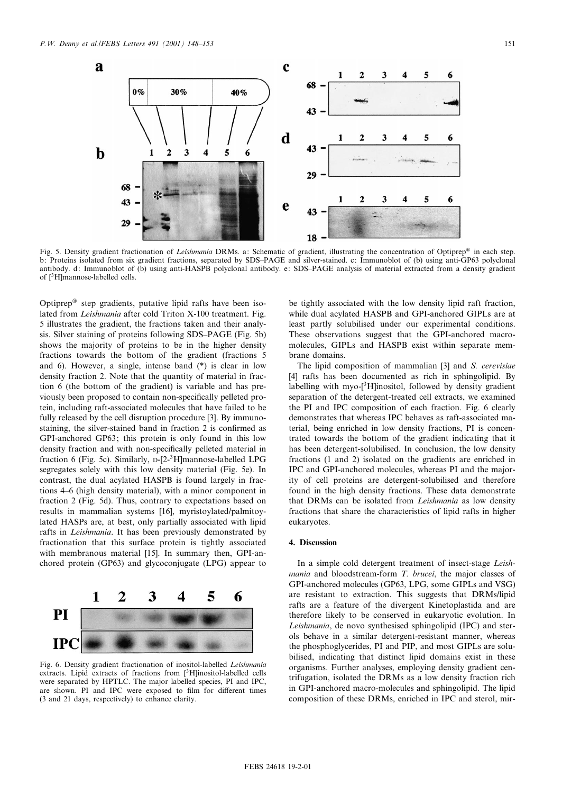

Fig. 5. Density gradient fractionation of Leishmania DRMs. a: Schematic of gradient, illustrating the concentration of Optiprep® in each step. b: Proteins isolated from six gradient fractions, separated by SDS-PAGE and silver-stained. c: Immunoblot of (b) using anti-GP63 polyclonal antibody. d: Immunoblot of (b) using anti-HASPB polyclonal antibody. e: SDS^PAGE analysis of material extracted from a density gradient of [3H]mannose-labelled cells.

Optiprep<sup>®</sup> step gradients, putative lipid rafts have been isolated from Leishmania after cold Triton X-100 treatment. Fig. 5 illustrates the gradient, the fractions taken and their analysis. Silver staining of proteins following SDS-PAGE (Fig. 5b) shows the majority of proteins to be in the higher density fractions towards the bottom of the gradient (fractions 5 and 6). However, a single, intense band (\*) is clear in low density fraction 2. Note that the quantity of material in fraction 6 (the bottom of the gradient) is variable and has previously been proposed to contain non-specifically pelleted protein, including raft-associated molecules that have failed to be fully released by the cell disruption procedure [3]. By immunostaining, the silver-stained band in fraction 2 is confirmed as GPI-anchored GP63; this protein is only found in this low density fraction and with non-specifically pelleted material in fraction 6 (Fig. 5c). Similarly, D-[2-3H]mannose-labelled LPG segregates solely with this low density material (Fig. 5e). In contrast, the dual acylated HASPB is found largely in fractions 4^6 (high density material), with a minor component in fraction 2 (Fig. 5d). Thus, contrary to expectations based on results in mammalian systems [16], myristoylated/palmitoylated HASPs are, at best, only partially associated with lipid rafts in Leishmania. It has been previously demonstrated by fractionation that this surface protein is tightly associated with membranous material [15]. In summary then, GPI-anchored protein (GP63) and glycoconjugate (LPG) appear to



Fig. 6. Density gradient fractionation of inositol-labelled Leishmania extracts. Lipid extracts of fractions from  $[3H]$ inositol-labelled cells were separated by HPTLC. The major labelled species, PI and IPC, are shown. PI and IPC were exposed to film for different times (3 and 21 days, respectively) to enhance clarity.

be tightly associated with the low density lipid raft fraction, while dual acylated HASPB and GPI-anchored GIPLs are at least partly solubilised under our experimental conditions. These observations suggest that the GPI-anchored macromolecules, GIPLs and HASPB exist within separate membrane domains.

The lipid composition of mammalian [3] and S. cerevisiae [4] rafts has been documented as rich in sphingolipid. By labelling with myo-[3H]inositol, followed by density gradient separation of the detergent-treated cell extracts, we examined the PI and IPC composition of each fraction. Fig. 6 clearly demonstrates that whereas IPC behaves as raft-associated material, being enriched in low density fractions, PI is concentrated towards the bottom of the gradient indicating that it has been detergent-solubilised. In conclusion, the low density fractions (1 and 2) isolated on the gradients are enriched in IPC and GPI-anchored molecules, whereas PI and the majority of cell proteins are detergent-solubilised and therefore found in the high density fractions. These data demonstrate that DRMs can be isolated from Leishmania as low density fractions that share the characteristics of lipid rafts in higher eukaryotes.

#### 4. Discussion

In a simple cold detergent treatment of insect-stage Leishmania and bloodstream-form T. brucei, the major classes of GPI-anchored molecules (GP63, LPG, some GIPLs and VSG) are resistant to extraction. This suggests that DRMs/lipid rafts are a feature of the divergent Kinetoplastida and are therefore likely to be conserved in eukaryotic evolution. In Leishmania, de novo synthesised sphingolipid (IPC) and sterols behave in a similar detergent-resistant manner, whereas the phosphoglycerides, PI and PIP, and most GIPLs are solubilised, indicating that distinct lipid domains exist in these organisms. Further analyses, employing density gradient centrifugation, isolated the DRMs as a low density fraction rich in GPI-anchored macro-molecules and sphingolipid. The lipid composition of these DRMs, enriched in IPC and sterol, mir-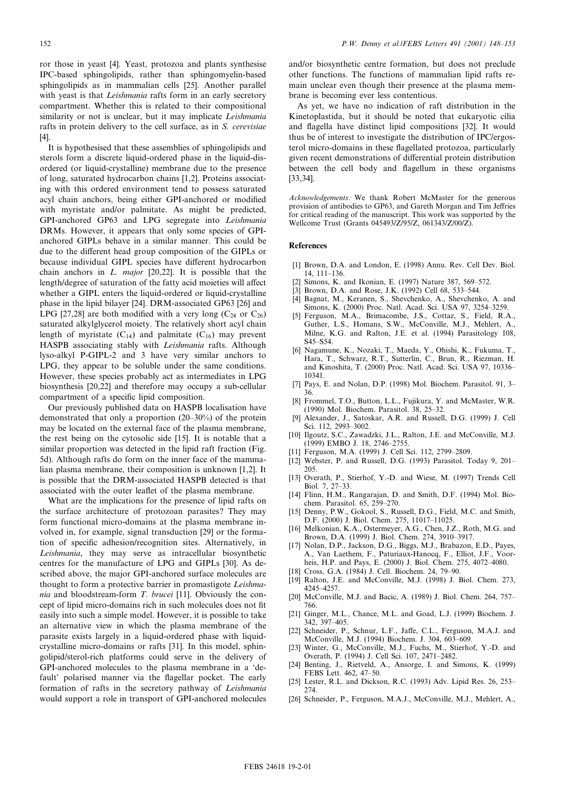It is hypothesised that these assemblies of sphingolipids and sterols form a discrete liquid-ordered phase in the liquid-disordered (or liquid-crystalline) membrane due to the presence of long, saturated hydrocarbon chains [1,2]. Proteins associating with this ordered environment tend to possess saturated acyl chain anchors, being either GPI-anchored or modified with myristate and/or palmitate. As might be predicted, GPI-anchored GP63 and LPG segregate into Leishmania DRMs. However, it appears that only some species of GPIanchored GIPLs behave in a similar manner. This could be due to the different head group composition of the GIPLs or because individual GIPL species have different hydrocarbon chain anchors in  $L.$  major [20,22]. It is possible that the length/degree of saturation of the fatty acid moieties will affect whether a GIPL enters the liquid-ordered or liquid-crystalline phase in the lipid bilayer [24]. DRM-associated GP63 [26] and LPG [27,28] are both modified with a very long  $(C_{24}$  or  $C_{26})$ saturated alkylglycerol moiety. The relatively short acyl chain length of myristate  $(C_{14})$  and palmitate  $(C_{16})$  may prevent HASPB associating stably with Leishmania rafts. Although lyso-alkyl P-GIPL-2 and 3 have very similar anchors to LPG, they appear to be soluble under the same conditions. However, these species probably act as intermediates in LPG biosynthesis [20,22] and therefore may occupy a sub-cellular compartment of a specific lipid composition.

Our previously published data on HASPB localisation have demonstrated that only a proportion  $(20-30%)$  of the protein may be located on the external face of the plasma membrane, the rest being on the cytosolic side [15]. It is notable that a similar proportion was detected in the lipid raft fraction (Fig. 5d). Although rafts do form on the inner face of the mammalian plasma membrane, their composition is unknown [1,2]. It is possible that the DRM-associated HASPB detected is that associated with the outer leaflet of the plasma membrane.

What are the implications for the presence of lipid rafts on the surface architecture of protozoan parasites? They may form functional micro-domains at the plasma membrane involved in, for example, signal transduction [29] or the formation of specific adhesion/recognition sites. Alternatively, in Leishmania, they may serve as intracellular biosynthetic centres for the manufacture of LPG and GIPLs [30]. As described above, the major GPI-anchored surface molecules are thought to form a protective barrier in promastigote Leishmania and bloodstream-form T. brucei [11]. Obviously the concept of lipid micro-domains rich in such molecules does not fit easily into such a simple model. However, it is possible to take an alternative view in which the plasma membrane of the parasite exists largely in a liquid-ordered phase with liquidcrystalline micro-domains or rafts [31]. In this model, sphingolipid/sterol-rich platforms could serve in the delivery of GPI-anchored molecules to the plasma membrane in a `default' polarised manner via the flagellar pocket. The early formation of rafts in the secretory pathway of Leishmania would support a role in transport of GPI-anchored molecules

and/or biosynthetic centre formation, but does not preclude other functions. The functions of mammalian lipid rafts remain unclear even though their presence at the plasma membrane is becoming ever less contentious.

As yet, we have no indication of raft distribution in the Kinetoplastida, but it should be noted that eukaryotic cilia and flagella have distinct lipid compositions [32]. It would thus be of interest to investigate the distribution of IPC/ergosterol micro-domains in these flagellated protozoa, particularly given recent demonstrations of differential protein distribution between the cell body and flagellum in these organisms [33,34].

Acknowledgements: We thank Robert McMaster for the generous provision of antibodies to GP63, and Gareth Morgan and Tim Jeffries for critical reading of the manuscript. This work was supported by the Wellcome Trust (Grants 045493/Z/95/Z, 061343/Z/00/Z).

### **References**

- [1] Brown, D.A. and London, E. (1998) Annu. Rev. Cell Dev. Biol. 14, 111^136.
- [2] Simons, K. and Ikonian, E. (1997) Nature 387, 569-572.
- [3] Brown, D.A. and Rose, J.K. (1992) Cell 68, 533-544.
- [4] Bagnat, M., Keranen, S., Shevchenko, A., Shevchenko, A. and Simons, K. (2000) Proc. Natl. Acad. Sci. USA 97, 3254-3259.
- [5] Ferguson, M.A., Brimacombe, J.S., Cottaz, S., Field, R.A., Guther, L.S., Homans, S.W., McConville, M.J., Mehlert, A., Milne, K.G. and Ralton, J.E. et al. (1994) Parasitology 108,  $S45-S54$ .
- [6] Nagamune, K., Nozaki, T., Maeda, Y., Ohishi, K., Fukuma, T., Hara, T., Schwarz, R.T., Sutterlin, C., Brun, R., Riezman, H. and Kinoshita, T. (2000) Proc. Natl. Acad. Sci. USA 97, 10336^ 10341.
- [7] Pays, E. and Nolan, D.P. (1998) Mol. Biochem. Parasitol. 91, 3-36.
- [8] Frommel, T.O., Button, L.L., Fujikura, Y. and McMaster, W.R. (1990) Mol. Biochem. Parasitol. 38, 25^32.
- [9] Alexander, J., Satoskar, A.R. and Russell, D.G. (1999) J. Cell Sci. 112, 2993-3002.
- [10] Ilgoutz, S.C., Zawadzki, J.L., Ralton, J.E. and McConville, M.J. (1999) EMBO J. 18, 2746^2755.
- [11] Ferguson, M.A. (1999) J. Cell Sci. 112, 2799-2809.
- [12] Webster, P. and Russell, D.G. (1993) Parasitol. Today 9, 201^ 205.
- [13] Overath, P., Stierhof, Y.-D. and Wiese, M. (1997) Trends Cell Biol. 7, 27-33.
- [14] Flinn, H.M., Rangarajan, D. and Smith, D.F. (1994) Mol. Biochem. Parasitol. 65, 259^270.
- [15] Denny, P.W., Gokool, S., Russell, D.G., Field, M.C. and Smith, D.F. (2000) J. Biol. Chem. 275, 11017-11025.
- [16] Melkonian, K.A., Ostermeyer, A.G., Chen, J.Z., Roth, M.G. and Brown, D.A. (1999) J. Biol. Chem. 274, 3910^3917.
- [17] Nolan, D.P., Jackson, D.G., Biggs, M.J., Brabazon, E.D., Payes, A., Van Laethem, F., Paturiaux-Hanocq, F., Elliot, J.F., Voorheis, H.P. and Pays, E. (2000) J. Biol. Chem. 275, 4072^4080.
- [18] Cross, G.A. (1984) J. Cell. Biochem. 24, 79-90.
- [19] Ralton, J.E. and McConville, M.J. (1998) J. Biol. Chem. 273, 4245^4257.
- [20] McConville, M.J. and Bacic, A. (1989) J. Biol. Chem. 264, 757-766.
- [21] Ginger, M.L., Chance, M.L. and Goad, L.J. (1999) Biochem. J. 342, 397^405.
- [22] Schneider, P., Schnur, L.F., Jaffe, C.L., Ferguson, M.A.J. and McConville, M.J. (1994) Biochem. J. 304, 603^609.
- [23] Winter, G., McConville, M.J., Fuchs, M., Stierhof, Y.-D. and Overath, P. (1994) J. Cell Sci. 107, 2471^2482.
- [24] Benting, J., Rietveld, A., Ansorge, I. and Simons, K. (1999) FEBS Lett. 462, 47-50.
- [25] Lester, R.L. and Dickson, R.C. (1993) Adv. Lipid Res. 26, 253-274.
- [26] Schneider, P., Ferguson, M.A.J., McConville, M.J., Mehlert, A.,